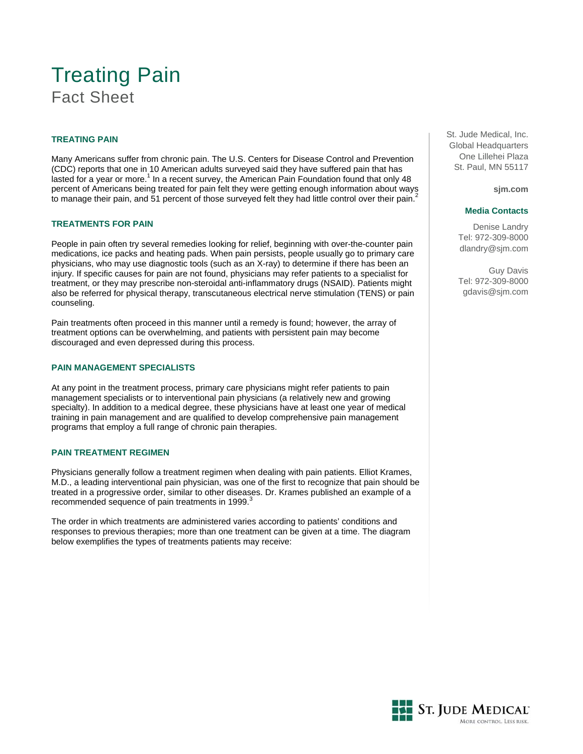# Treating Pain Fact Sheet

# **TREATING PAIN**

Many Americans suffer from chronic pain. The U.S. Centers for Disease Control and Prevention (CDC) reports that one in 10 American adults surveyed said they have suffered pain that has lasted for a year or more.<sup>1</sup> In a recent survey, the American Pain Foundation found that only 48 percent of Americans being treated for pain felt they were getting enough information about ways to manage their pain, and 51 percent of those surveyed felt they had little control over their pain.

## **TREATMENTS FOR PAIN**

People in pain often try several remedies looking for relief, beginning with over-the-counter pain medications, ice packs and heating pads. When pain persists, people usually go to primary care physicians, who may use diagnostic tools (such as an X-ray) to determine if there has been an injury. If specific causes for pain are not found, physicians may refer patients to a specialist for treatment, or they may prescribe non-steroidal anti-inflammatory drugs (NSAID). Patients might also be referred for physical therapy, transcutaneous electrical nerve stimulation (TENS) or pain counseling.

Pain treatments often proceed in this manner until a remedy is found; however, the array of treatment options can be overwhelming, and patients with persistent pain may become discouraged and even depressed during this process.

# **PAIN MANAGEMENT SPECIALISTS**

At any point in the treatment process, primary care physicians might refer patients to pain management specialists or to interventional pain physicians (a relatively new and growing specialty). In addition to a medical degree, these physicians have at least one year of medical training in pain management and are qualified to develop comprehensive pain management programs that employ a full range of chronic pain therapies.

## **PAIN TREATMENT REGIMEN**

Physicians generally follow a treatment regimen when dealing with pain patients. Elliot Krames, M.D., a leading interventional pain physician, was one of the first to recognize that pain should be treated in a progressive order, similar to other diseases. Dr. Krames published an example of a recommended sequence of pain treatments in 1999.<sup>3</sup>

The order in which treatments are administered varies according to patients' conditions and responses to previous therapies; more than one treatment can be given at a time. The diagram below exemplifies the types of treatments patients may receive:

St. Jude Medical, Inc. Global Headquarters One Lillehei Plaza St. Paul, MN 55117

**sjm.com**

#### **Media Contacts**

Denise Landry Tel: 972-309-8000 dlandry@sjm.com

Guy Davis Tel: 972-309-8000 gdavis@sjm.com

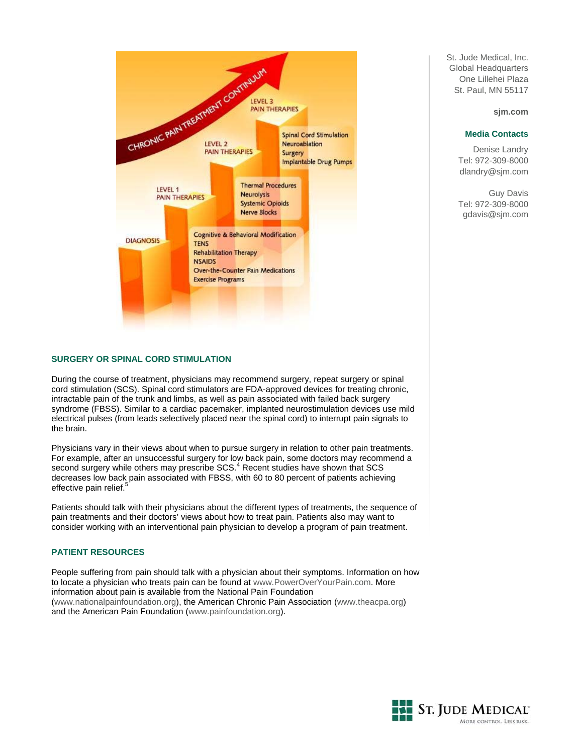

# **SURGERY OR SPINAL CORD STIMULATION**

During the course of treatment, physicians may recommend surgery, repeat surgery or spinal cord stimulation (SCS). Spinal cord stimulators are FDA-approved devices for treating chronic, intractable pain of the trunk and limbs, as well as pain associated with failed back surgery syndrome (FBSS). Similar to a cardiac pacemaker, implanted neurostimulation devices use mild electrical pulses (from leads selectively placed near the spinal cord) to interrupt pain signals to the brain.

Physicians vary in their views about when to pursue surgery in relation to other pain treatments. For example, after an unsuccessful surgery for low back pain, some doctors may recommend a second surgery while others may prescribe SCS.<sup>4</sup> Recent studies have shown that SCS decreases low back pain associated with FBSS, with 60 to 80 percent of patients achieving effective pain relief.

Patients should talk with their physicians about the different types of treatments, the sequence of pain treatments and their doctors' views about how to treat pain. Patients also may want to consider working with an interventional pain physician to develop a program of pain treatment.

## **PATIENT RESOURCES**

People suffering from pain should talk with a physician about their symptoms. Information on how to locate a physician who treats pain can be found at [www.PowerOverYourPain.com.](http://www.poweroveryourpain.com/) More information about pain is available from the National Pain Foundation ([www.nationalpainfoundation.org](http://www.nationalpainfoundation.org/)), the American Chronic Pain Association [\(www.theacpa.org\)](http://www.theacpa.org/) and the American Pain Foundation [\(www.painfoundation.org\)](http://www.painfoundation.org/).

St. Jude Medical, Inc. Global Headquarters One Lillehei Plaza St. Paul, MN 55117

#### **sjm.com**

#### **Media Contacts**

Denise Landry Tel: 972-309-8000 dlandry@sjm.com

Guy Davis Tel: 972-309-8000 gdavis@sjm.com